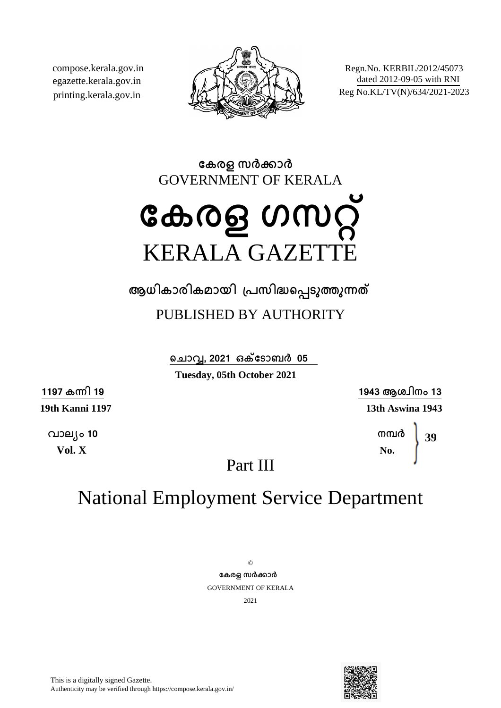compose.kerala.gov.in egazette.kerala.gov.in printing.kerala.gov.in



Regn.No. KERBIL/2012/45073 dated 2012-09-05 with RNI Reg No.KL/TV(N)/634/2021-2023

**േകരള സരകാര** GOVERNMENT OF KERALA

# **േകരള ഗസറ്** KERALA GAZETT

**ആധികാരികമായി ്പസിദെപടുതുനത**

### PUBLISHED BY AUTHORITY

**െചാവ, 2021 ഒകേടാബര 05**

**Tuesday, 05th October 2021**

**1197 കനി 19**

**19th Kanni 1197**

**വാല്ം 10 Vol. X**

**1943 ആശ്ിനം 13 13th Aswina 1943**

> **നമര No. 39**

Part III

## National Employment Service Department

 $\odot$ **േകരള സരകാര** GOVERNMENT OF KERALA 2021

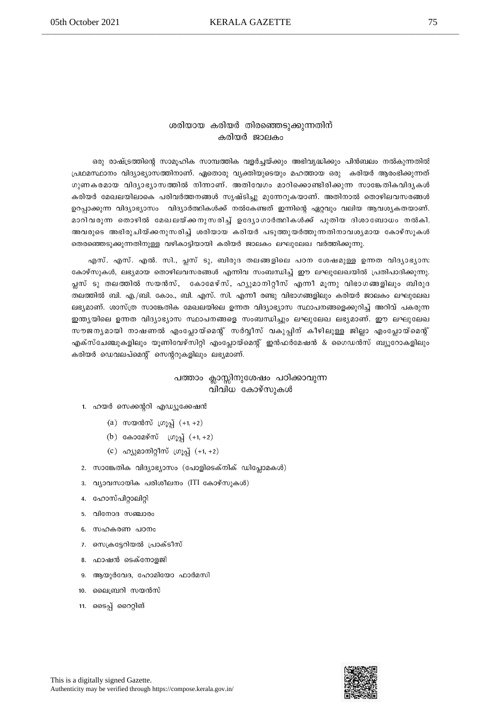#### ശരിയായ കരിയർ തിരഞ്ഞെടുക്കുന്നതിന് കരിയർ ജാലകം

ഒരു രാഷ്ട്രത്തിന്റെ സാമൂഹിക സാമ്പത്തിക വളർച്ചയ്ക്കും അഭിവൃദ്ധിക്കും പിൻബലം നൽകുന്നതിൽ പ്രഥമസ്ഥാനം വിദ്യാഭ്യാസത്തിനാണ്. ഏതൊരു വ്യക്തിയുടെയും മഹത്തായ ഒരു കരിയർ ആരംഭിക്കുന്നത് ഗുണകരമായ വിദ്യാഭ്യാസത്തിൽ നിന്നാണ്. അതിവേഗം മാറിക്കൊണ്ടിരിക്കുന്ന സാങ്കേതികവിദൃകൾ കരിയർ മേഖലയിലാകെ പരിവർത്തനങ്ങൾ സൃഷ്ടിച്ചു മുന്നേറുകയാണ്. അതിനാൽ തൊഴിലവസരങ്ങൾ ഉറപ്പാക്കുന്ന വിദ്യാഭ്യാസം വിദ്യാർത്ഥികൾക്ക് നൽകേണ്ടത് ഇന്നിന്റെ ഏറ്റവും വലിയ ആവശ്യകതയാണ്. മാറിവരുന്ന തൊഴിൽ മേഖലയ്ക്കനുസരിച്ച് ഉദ്യോഗാർത്ഥികൾക്ക് പുതിയ ദിശാബോധം നൽകി, .<br>അവരുടെ അഭിരുചിയ്ക്കനുസരിച്ച് ശരിയായ കരിയർ പടുത്തുയർത്തുന്നതിനാവശ്യമായ കോഴ്സുകൾ തെരഞ്ഞെടുക്കുന്നതിനുള്ള വഴികാട്ടിയായി കരിയർ ജാലകം ലഘുലേഖ വർത്തിക്കുന്നു.

എസ്. എസ്. എൽ. സി., പ്ലസ് ടു, ബിരുദ തലങ്ങളിലെ പഠന ശേഷമുള്ള ഉന്നത വിദ്യാഭ്യാസ കോഴ്സുകൾ, ലഭ്യമായ തൊഴിലവസരങ്ങൾ എന്നിവ സംബന്ധിച്ച് ഈ ലഘുലേഖയിൽ പ്രതിപാദിക്കുന്നു. പ്ലസ് ടു തലത്തിൽ സയൻസ്, കോമേഴ്സ്, ഹൃുമാനിറ്റീസ് എന്നീ മൂന്നു വിഭാഗങ്ങളിലും ബിരുദ തലത്തിൽ ബി. എ./ബി. കോം., ബി. എസ്. സി. എന്നീ രണ്ടു വിഭാഗങ്ങളിലും കരിയർ ജാലകം ലഘുലേഖ ലഭ്യമാണ്. ശാസ്ത്ര സാങ്കേതിക മേഖലയിലെ ഉന്നത വിദ്യാഭ്യാസ സ്ഥാപനങ്ങളെക്കുറിച്ച് അറിവ് പകരുന്ന ഇന്ത്യയിലെ ഉന്നത വിദ്യാഭ്യാസ സ്ഥാപനങ്ങളെ സംബന്ധിച്ചും ലഘുലേഖ ലഭ്യമാണ്. ഈ ലഘുലേഖ സൗജന്യമായി നാഷണൽ എംപ്ലോയ്മെന്റ് സർവ്വീസ് വകുപ്പിന് കീഴിലുള്ള ജില്ലാ എംപ്ലോയ്മെന്റ് എക്സ്ചേഞ്ചുകളിലും യൂണിവേഴ്സിറ്റി എംപ്ലോയ്മെന്റ് ഇൻഫർമേഷൻ & ഗൈഡൻസ് ബ്യൂറോകളിലും കരിയർ ഡെവലപ്മെന്റ് സെന്ററുകളിലും ലഭ്യമാണ്.

#### പത്താം ക്ലാസ്സിനുശേഷം പഠിക്കാവുന്ന വിവിധ കോഴ്സുകൾ

- 1. ഹയർ സെക്കന്ററി എഡ്യൂക്കേഷൻ
	- $(a)$  സയൻസ് ഗ്രൂപ്പ്  $(+1, +2)$
	- (b) саэседёт  $(n)$ д (+1, +2)
	- (c) ഹ്യുമാനിറ്റീസ് ഗ്രൂപ്പ്  $(+1, +2)$
- 2. സാങ്കേതിക വിദ്യാഭ്യാസം (പോളിടെക്നിക് ഡിപ്ലോമകൾ)
- 3. വ്യാവസായിക പരിശീലനം (ITI കോഴ്സുകൾ)
- 4. ഹോസ്പിറ്റാലിറ്റി
- 5. വിനോദ സഞ്ചാരം
- 6. സഹകരണ പഠനം
- 7. സെക്രട്ടേറിയൽ പ്രാക്ടീസ്
- 8. ഫാഷൻ ടെക്നോളജി
- 9. ആയുർവേദ, ഹോമിയോ ഫാർമസി
- 10. ലൈബ്രറി സയൻസ്
- 11. ടൈപ്പ് റൈറ്റിങ്

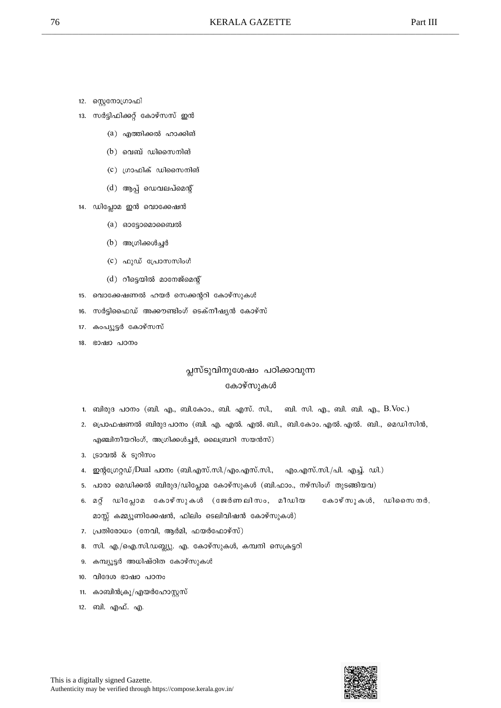- 12. സ്റ്റെനോഗ്രാഫി
- 13. സർട്ടിഫിക്കറ്റ് കോഴ്സസ് ഇൻ
	- (a) എത്തിക്കൽ ഹാക്കിങ്
	- $(b)$  വെബ് ഡിസൈനിങ്
	- (c) ഗ്രാഫിക് ഡിസൈനിങ്
	- (d) ആപ്പ് ഡെവലപ്മെന്റ്
- 14. ഡിപ്ലോമ ഇൻ വൊക്കേഷൻ
	- $(a)$  ഓട്ടോമൊബൈൽ
	- (b) അഗ്രിക്കൾച്ചർ
	- (c) ഫുഡ് പ്രോസസിംഗ്
	- (d) റീട്ടെയിൽ മാനേജ്മെന്റ്
- 15. വൊക്കേഷണൽ ഹയർ സെക്കന്ററി കോഴ്സുകൾ
- 16. സർട്ടിഫൈഡ് അക്കൗണ്ടിംഗ് ടെക്നീഷ്യൻ കോഴ്സ്
- 17. കാപ്യൂട്ടർ കോഴ്സസ്
- 18. ഭാഷാ പഠനം

#### പ്ലസ്ടുവിനുശേഷം പഠിക്കാവുന്ന കോഴ്സുകൾ

- 1. ബിരുദ പഠനം (ബി. എ., ബി.കോം., ബി. എസ്. സി., ബി. സി. എ., ബി. ബി. എ., B.Voc.)
- 2. പ്രൊഫഷണൽ ബിരുദ പഠനം (ബി. എ. എൽ. എൽ. ബി., ബി.കോം. എൽ. എൽ. ബി., മെഡിസിൻ, എഞ്ചിനീയറിംഗ്, അഗ്രിക്കൾച്ചർ, ലൈബ്രറി സയൻസ്)
- 3. ട്രാവൽ & ടൂറിസം
- 4. ഇന്റഗ്രേറ്റഡ്/Dual പഠനം (ബി.എസ്.സി./എം.എസ്.സി., എം.എസ്.സി./പി. എച്ച്. ഡി.)
- 5. പാരാ മെഡിക്കൽ ബിരുദ/ഡിപ്ലോമ കോഴ്സുകൾ (ബി.ഫാം., നഴ്സിംഗ് തുടങ്ങിയവ)
- 6. മറ്റ് ഡിപ്ലോമ കോഴ്സുകൾ (ജേർണലിസം, മീഡിയ കോഴ്സുകൾ, ഡിസൈനർ, മാസ്സ് കമ്മ്യൂണിക്കേഷൻ, ഫിലിം ടെലിവിഷൻ കോഴ്സുകൾ)
- 7. പ്രതിരോധം (നേവി, ആർമി, ഫയർഫോഴ്സ്)
- 8. സി. എ./ഐ.സി.ഡബ്ല്യു. എ. കോഴ്സുകൾ, കമ്പനി സെക്രട്ടറി
- 9. കമ്പ്യൂട്ടർ അധിഷ്ഠിത കോഴ്സുകൾ
- 10. വിദേശ ഭാഷാ പഠനം
- 11. കാബിൻക്രൂ/എയർഹോസ്റ്റസ്
- 12. ബി. എഫ്. എ.